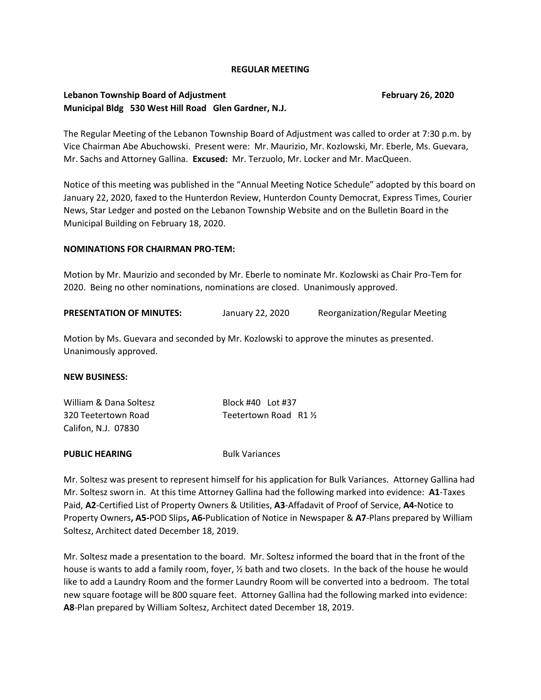### **REGULAR MEETING**

## **Lebanon Township Board of Adjustment February 26, 2020 Municipal Bldg 530 West Hill Road Glen Gardner, N.J.**

The Regular Meeting of the Lebanon Township Board of Adjustment was called to order at 7:30 p.m. by Vice Chairman Abe Abuchowski. Present were: Mr. Maurizio, Mr. Kozlowski, Mr. Eberle, Ms. Guevara, Mr. Sachs and Attorney Gallina. **Excused:** Mr. Terzuolo, Mr. Locker and Mr. MacQueen.

Notice of this meeting was published in the "Annual Meeting Notice Schedule" adopted by this board on January 22, 2020, faxed to the Hunterdon Review, Hunterdon County Democrat, Express Times, Courier News, Star Ledger and posted on the Lebanon Township Website and on the Bulletin Board in the Municipal Building on February 18, 2020.

### **NOMINATIONS FOR CHAIRMAN PRO-TEM:**

Motion by Mr. Maurizio and seconded by Mr. Eberle to nominate Mr. Kozlowski as Chair Pro-Tem for 2020. Being no other nominations, nominations are closed. Unanimously approved.

| <b>PRESENTATION OF MINUTES:</b> | January 22, 2020 | Reorganization/Regular Meeting |
|---------------------------------|------------------|--------------------------------|
|---------------------------------|------------------|--------------------------------|

Motion by Ms. Guevara and seconded by Mr. Kozlowski to approve the minutes as presented. Unanimously approved.

#### **NEW BUSINESS:**

| William & Dana Soltesz | Block #40 Lot #37      |
|------------------------|------------------------|
| 320 Teetertown Road    | Teetertown Road R1 1/2 |
| Califon, N.J. 07830    |                        |

#### **PUBLIC HEARING** Bulk Variances

Mr. Soltesz was present to represent himself for his application for Bulk Variances. Attorney Gallina had Mr. Soltesz sworn in. At this time Attorney Gallina had the following marked into evidence: **A1**-Taxes Paid, **A2**-Certified List of Property Owners & Utilities, **A3**-Affadavit of Proof of Service, **A4-**Notice to Property Owners**, A5-**POD Slips**, A6-**Publication of Notice in Newspaper & **A7**-Plans prepared by William Soltesz, Architect dated December 18, 2019.

Mr. Soltesz made a presentation to the board. Mr. Soltesz informed the board that in the front of the house is wants to add a family room, foyer, ½ bath and two closets. In the back of the house he would like to add a Laundry Room and the former Laundry Room will be converted into a bedroom. The total new square footage will be 800 square feet. Attorney Gallina had the following marked into evidence: **A8**-Plan prepared by William Soltesz, Architect dated December 18, 2019.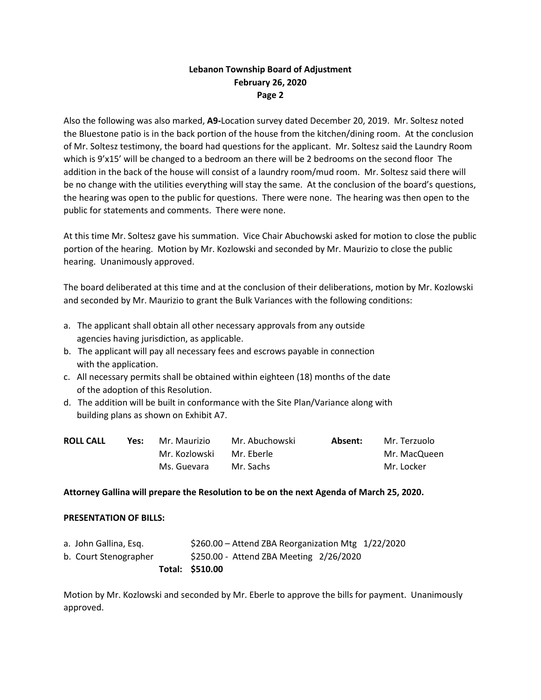# **Lebanon Township Board of Adjustment February 26, 2020 Page 2**

Also the following was also marked, **A9-**Location survey dated December 20, 2019. Mr. Soltesz noted the Bluestone patio is in the back portion of the house from the kitchen/dining room. At the conclusion of Mr. Soltesz testimony, the board had questions for the applicant. Mr. Soltesz said the Laundry Room which is 9'x15' will be changed to a bedroom an there will be 2 bedrooms on the second floor The addition in the back of the house will consist of a laundry room/mud room. Mr. Soltesz said there will be no change with the utilities everything will stay the same. At the conclusion of the board's questions, the hearing was open to the public for questions. There were none. The hearing was then open to the public for statements and comments. There were none.

At this time Mr. Soltesz gave his summation. Vice Chair Abuchowski asked for motion to close the public portion of the hearing. Motion by Mr. Kozlowski and seconded by Mr. Maurizio to close the public hearing. Unanimously approved.

The board deliberated at this time and at the conclusion of their deliberations, motion by Mr. Kozlowski and seconded by Mr. Maurizio to grant the Bulk Variances with the following conditions:

- a. The applicant shall obtain all other necessary approvals from any outside agencies having jurisdiction, as applicable.
- b. The applicant will pay all necessary fees and escrows payable in connection with the application.
- c. All necessary permits shall be obtained within eighteen (18) months of the date of the adoption of this Resolution.
- d. The addition will be built in conformance with the Site Plan/Variance along with building plans as shown on Exhibit A7.

| <b>ROLL CALL</b> | Yes: | Mr. Maurizio  | Mr. Abuchowski | Absent: | Mr. Terzuolo |
|------------------|------|---------------|----------------|---------|--------------|
|                  |      | Mr. Kozlowski | Mr. Eberle     |         | Mr. MacQueen |
|                  |      | Ms. Guevara   | Mr. Sachs      |         | Mr. Locker   |

### **Attorney Gallina will prepare the Resolution to be on the next Agenda of March 25, 2020.**

#### **PRESENTATION OF BILLS:**

|                       | Total: \$510.00                                       |  |
|-----------------------|-------------------------------------------------------|--|
| b. Court Stenographer | \$250.00 - Attend ZBA Meeting 2/26/2020               |  |
| a. John Gallina, Esq. | $$260.00 -$ Attend ZBA Reorganization Mtg $1/22/2020$ |  |

Motion by Mr. Kozlowski and seconded by Mr. Eberle to approve the bills for payment. Unanimously approved.